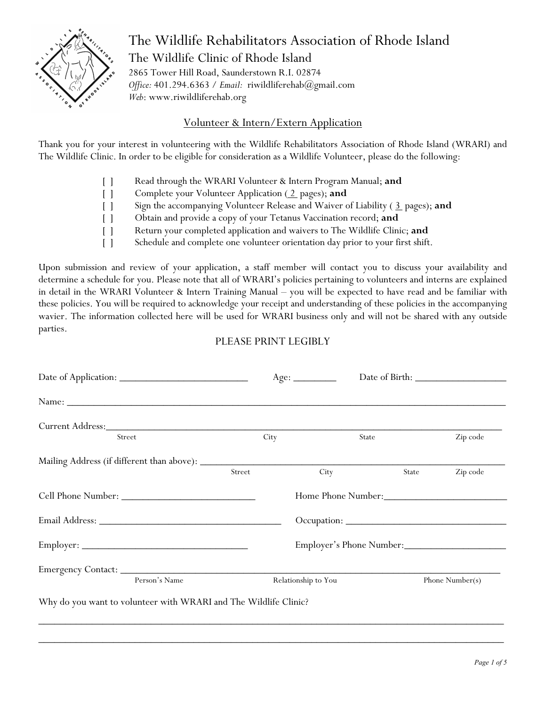

# The Wildlife Rehabilitators Association of Rhode Island The Wildlife Clinic of Rhode Island

2865 Tower Hill Road, Saunderstown R.I. 02874 *Office:* 401.294.6363 / *Email:* riwildliferehab@gmail.com *Web*: www.riwildliferehab.org

## Volunteer & Intern/Extern Application

Thank you for your interest in volunteering with the Wildlife Rehabilitators Association of Rhode Island (WRARI) and The Wildlife Clinic. In order to be eligible for consideration as a Wildlife Volunteer, please do the following:

- [ ] Read through the WRARI Volunteer & Intern Program Manual; **and**
- [ ] Complete your Volunteer Application (2 pages); and
- [ ] Sign the accompanying Volunteer Release and Waiver of Liability ( 3 pages); **and**
- [ ] Obtain and provide a copy of your Tetanus Vaccination record; **and**
- [ ] Return your completed application and waivers to The Wildlife Clinic; **and**
- [ ] Schedule and complete one volunteer orientation day prior to your first shift.

Upon submission and review of your application, a staff member will contact you to discuss your availability and determine a schedule for you. Please note that all of WRARI's policies pertaining to volunteers and interns are explained in detail in the WRARI Volunteer & Intern Training Manual – you will be expected to have read and be familiar with these policies. You will be required to acknowledge your receipt and understanding of these policies in the accompanying wavier. The information collected here will be used for WRARI business only and will not be shared with any outside parties.

### PLEASE PRINT LEGIBLY

| Street                                                           | City   | State                    |       | Zip code        |  |
|------------------------------------------------------------------|--------|--------------------------|-------|-----------------|--|
|                                                                  |        |                          |       |                 |  |
|                                                                  | Street | City                     | State | Zip code        |  |
| Cell Phone Number:                                               |        | Home Phone Number:       |       |                 |  |
|                                                                  |        |                          |       |                 |  |
|                                                                  |        | Employer's Phone Number: |       |                 |  |
|                                                                  |        |                          |       |                 |  |
| Person's Name                                                    |        | Relationship to You      |       | Phone Number(s) |  |
| Why do you want to volunteer with WRARI and The Wildlife Clinic? |        |                          |       |                 |  |
|                                                                  |        |                          |       |                 |  |

\_\_\_\_\_\_\_\_\_\_\_\_\_\_\_\_\_\_\_\_\_\_\_\_\_\_\_\_\_\_\_\_\_\_\_\_\_\_\_\_\_\_\_\_\_\_\_\_\_\_\_\_\_\_\_\_\_\_\_\_\_\_\_\_\_\_\_\_\_\_\_\_\_\_\_\_\_\_\_\_\_\_\_\_\_\_\_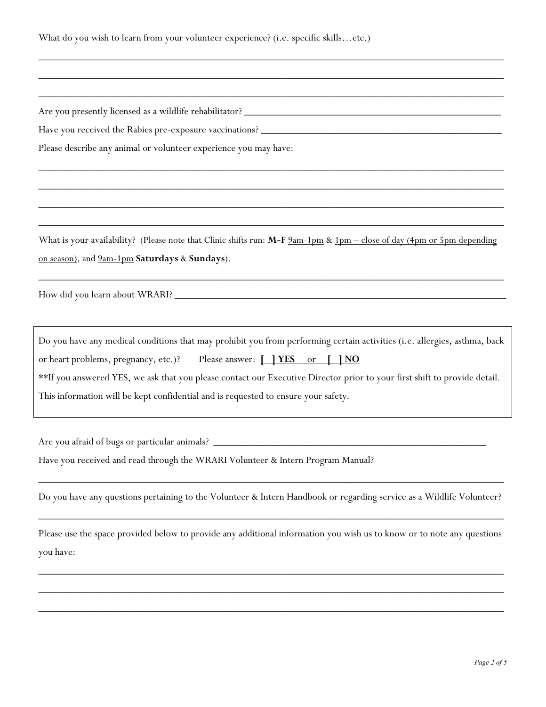What do you wish to learn from your volunteer experience? (i.e. specific skills…etc.)

Are you presently licensed as a wildlife rehabilitator? \_\_\_\_\_\_\_\_\_\_\_\_\_\_\_\_\_\_\_\_\_\_\_\_

Have you received the Rabies pre-exposure vaccinations? \_\_\_\_\_\_\_\_\_\_\_\_\_\_\_\_\_\_\_\_\_\_\_\_

Please describe any animal or volunteer experience you may have:

What is your availability? (Please note that Clinic shifts run: M-F  $2am-1pm$  &  $1pm - close$  of day (4pm or 5pm depending on season), and 9am-1pm **Saturdays** & **Sundays**).

\_\_\_\_\_\_\_\_\_\_\_\_\_\_\_\_\_\_\_\_\_\_\_\_\_\_\_\_\_\_\_\_\_\_\_\_\_\_\_\_\_\_\_\_\_\_\_\_\_\_\_\_\_\_\_\_\_\_\_\_\_\_\_\_\_\_\_\_\_\_\_\_\_\_\_\_\_\_\_\_\_\_\_\_\_\_\_

\_\_\_\_\_\_\_\_\_\_\_\_\_\_\_\_\_\_\_\_\_\_\_\_\_\_\_\_\_\_\_\_\_\_\_\_\_\_\_\_\_\_\_\_\_\_\_\_\_\_\_\_\_\_\_\_\_\_\_\_\_\_\_\_\_\_\_\_\_\_\_\_\_\_\_\_\_\_\_\_\_\_\_\_\_\_\_

\_\_\_\_\_\_\_\_\_\_\_\_\_\_\_\_\_\_\_\_\_\_\_\_\_\_\_\_\_\_\_\_\_\_\_\_\_\_\_\_\_\_\_\_\_\_\_\_\_\_\_\_\_\_\_\_\_\_\_\_\_\_\_\_\_\_\_\_\_\_\_\_\_\_\_\_\_\_\_\_\_\_\_\_\_\_\_

\_\_\_\_\_\_\_\_\_\_\_\_\_\_\_\_\_\_\_\_\_\_\_\_\_\_\_\_\_\_\_\_\_\_\_\_\_\_\_\_\_\_\_\_\_\_\_\_\_\_\_\_\_\_\_\_\_\_\_\_\_\_\_\_\_\_\_\_\_\_\_\_\_\_\_\_\_\_\_\_\_\_\_\_\_\_\_

\_\_\_\_\_\_\_\_\_\_\_\_\_\_\_\_\_\_\_\_\_\_\_\_\_\_\_\_\_\_\_\_\_\_\_\_\_\_\_\_\_\_\_\_\_\_\_\_\_\_\_\_\_\_\_\_\_\_\_\_\_\_\_\_\_\_\_\_\_\_\_\_\_\_\_\_\_\_\_\_\_\_\_\_\_\_\_

\_\_\_\_\_\_\_\_\_\_\_\_\_\_\_\_\_\_\_\_\_\_\_\_\_\_\_\_\_\_\_\_\_\_\_\_\_\_\_\_\_\_\_\_\_\_\_\_\_\_\_\_\_\_\_\_\_\_\_\_\_\_\_\_\_\_\_\_\_\_\_\_\_\_\_\_\_\_\_\_\_\_\_\_\_\_\_

\_\_\_\_\_\_\_\_\_\_\_\_\_\_\_\_\_\_\_\_\_\_\_\_\_\_\_\_\_\_\_\_\_\_\_\_\_\_\_\_\_\_\_\_\_\_\_\_\_\_\_\_\_\_\_\_\_\_\_\_\_\_\_\_\_\_\_\_\_\_\_\_\_\_\_\_\_\_\_\_\_\_\_\_\_\_\_

\_\_\_\_\_\_\_\_\_\_\_\_\_\_\_\_\_\_\_\_\_\_\_\_\_\_\_\_\_\_\_\_\_\_\_\_\_\_\_\_\_\_\_\_\_\_\_\_\_\_\_\_\_\_\_\_\_\_\_\_\_\_\_\_\_\_\_\_\_\_\_\_\_\_\_\_\_\_\_\_\_\_\_\_\_\_\_

How did you learn about WRARI? \_\_\_\_\_\_\_\_\_\_\_\_\_\_\_\_\_\_\_\_\_\_\_\_\_\_\_\_\_\_\_\_\_\_\_\_\_\_\_\_\_\_\_\_\_\_\_\_\_\_\_\_\_\_\_\_\_\_\_\_\_\_

Do you have any medical conditions that may prohibit you from performing certain activities (i.e. allergies, asthma, back or heart problems, pregnancy, etc.)? Please answer: **[ ] YES** or **[ ] NO** \*\*If you answered YES, we ask that you please contact our Executive Director prior to your first shift to provide detail. This information will be kept confidential and is requested to ensure your safety.

Are you afraid of bugs or particular animals? \_\_\_\_\_\_\_\_\_\_\_\_\_\_\_\_\_\_\_\_\_\_\_\_\_\_\_\_\_\_\_\_\_\_

Have you received and read through the WRARI Volunteer & Intern Program Manual?

Do you have any questions pertaining to the Volunteer & Intern Handbook or regarding service as a Wildlife Volunteer?

\_\_\_\_\_\_\_\_\_\_\_\_\_\_\_\_\_\_\_\_\_\_\_\_\_\_\_\_\_\_\_\_\_\_\_\_\_\_\_\_\_\_\_\_\_\_\_\_\_\_\_\_\_\_\_\_\_\_\_\_\_\_\_\_\_\_\_\_\_\_\_\_\_\_\_\_\_\_\_\_\_\_\_\_\_\_\_

\_\_\_\_\_\_\_\_\_\_\_\_\_\_\_\_\_\_\_\_\_\_\_\_\_\_\_\_\_\_\_\_\_\_\_\_\_\_\_\_\_\_\_\_\_\_\_\_\_\_\_\_\_\_\_\_\_\_\_\_\_\_\_\_\_\_\_\_\_\_\_\_\_\_\_\_\_\_\_\_\_\_\_\_\_\_\_

Please use the space provided below to provide any additional information you wish us to know or to note any questions you have:

\_\_\_\_\_\_\_\_\_\_\_\_\_\_\_\_\_\_\_\_\_\_\_\_\_\_\_\_\_\_\_\_\_\_\_\_\_\_\_\_\_\_\_\_\_\_\_\_\_\_\_\_\_\_\_\_\_\_\_\_\_\_\_\_\_\_\_\_\_\_\_\_\_\_\_\_\_\_\_\_\_\_\_\_\_\_\_

\_\_\_\_\_\_\_\_\_\_\_\_\_\_\_\_\_\_\_\_\_\_\_\_\_\_\_\_\_\_\_\_\_\_\_\_\_\_\_\_\_\_\_\_\_\_\_\_\_\_\_\_\_\_\_\_\_\_\_\_\_\_\_\_\_\_\_\_\_\_\_\_\_\_\_\_\_\_\_\_\_\_\_\_\_\_\_

\_\_\_\_\_\_\_\_\_\_\_\_\_\_\_\_\_\_\_\_\_\_\_\_\_\_\_\_\_\_\_\_\_\_\_\_\_\_\_\_\_\_\_\_\_\_\_\_\_\_\_\_\_\_\_\_\_\_\_\_\_\_\_\_\_\_\_\_\_\_\_\_\_\_\_\_\_\_\_\_\_\_\_\_\_\_\_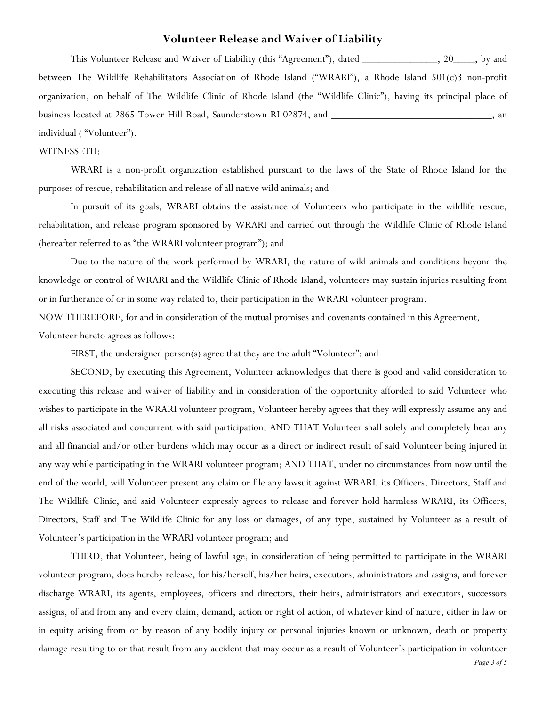### **Volunteer Release and Waiver of Liability**

This Volunteer Release and Waiver of Liability (this "Agreement"), dated \_\_\_\_\_\_\_\_\_\_\_\_\_\_, 20\_\_\_\_, by and between The Wildlife Rehabilitators Association of Rhode Island ("WRARI"), a Rhode Island 501(c)3 non-profit organization, on behalf of The Wildlife Clinic of Rhode Island (the "Wildlife Clinic"), having its principal place of business located at 2865 Tower Hill Road, Saunderstown RI 02874, and \_\_\_\_\_\_\_\_\_\_\_\_\_\_\_\_\_\_\_, an individual ( "Volunteer").

#### WITNESSETH:

WRARI is a non-profit organization established pursuant to the laws of the State of Rhode Island for the purposes of rescue, rehabilitation and release of all native wild animals; and

In pursuit of its goals, WRARI obtains the assistance of Volunteers who participate in the wildlife rescue, rehabilitation, and release program sponsored by WRARI and carried out through the Wildlife Clinic of Rhode Island (hereafter referred to as "the WRARI volunteer program"); and

Due to the nature of the work performed by WRARI, the nature of wild animals and conditions beyond the knowledge or control of WRARI and the Wildlife Clinic of Rhode Island, volunteers may sustain injuries resulting from or in furtherance of or in some way related to, their participation in the WRARI volunteer program.

NOW THEREFORE, for and in consideration of the mutual promises and covenants contained in this Agreement,

Volunteer hereto agrees as follows:

FIRST, the undersigned person(s) agree that they are the adult "Volunteer"; and

SECOND, by executing this Agreement, Volunteer acknowledges that there is good and valid consideration to executing this release and waiver of liability and in consideration of the opportunity afforded to said Volunteer who wishes to participate in the WRARI volunteer program, Volunteer hereby agrees that they will expressly assume any and all risks associated and concurrent with said participation; AND THAT Volunteer shall solely and completely bear any and all financial and/or other burdens which may occur as a direct or indirect result of said Volunteer being injured in any way while participating in the WRARI volunteer program; AND THAT, under no circumstances from now until the end of the world, will Volunteer present any claim or file any lawsuit against WRARI, its Officers, Directors, Staff and The Wildlife Clinic, and said Volunteer expressly agrees to release and forever hold harmless WRARI, its Officers, Directors, Staff and The Wildlife Clinic for any loss or damages, of any type, sustained by Volunteer as a result of Volunteer's participation in the WRARI volunteer program; and

THIRD, that Volunteer, being of lawful age, in consideration of being permitted to participate in the WRARI volunteer program, does hereby release, for his/herself, his/her heirs, executors, administrators and assigns, and forever discharge WRARI, its agents, employees, officers and directors, their heirs, administrators and executors, successors assigns, of and from any and every claim, demand, action or right of action, of whatever kind of nature, either in law or in equity arising from or by reason of any bodily injury or personal injuries known or unknown, death or property damage resulting to or that result from any accident that may occur as a result of Volunteer's participation in volunteer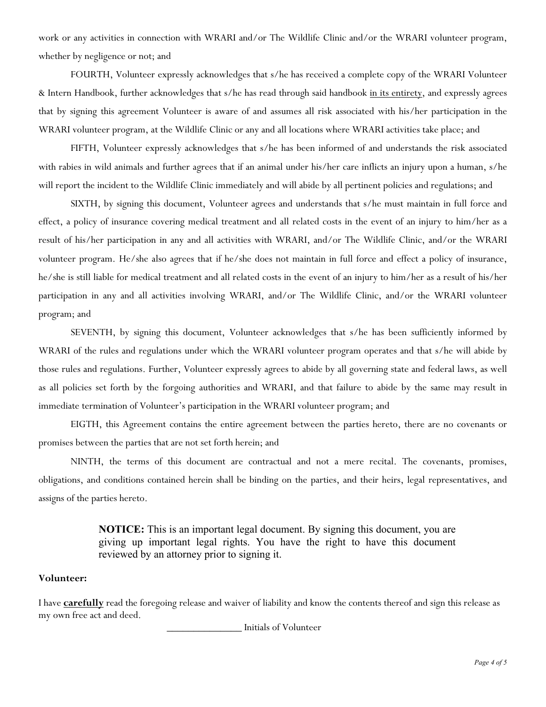work or any activities in connection with WRARI and/or The Wildlife Clinic and/or the WRARI volunteer program, whether by negligence or not; and

FOURTH, Volunteer expressly acknowledges that s/he has received a complete copy of the WRARI Volunteer & Intern Handbook, further acknowledges that s/he has read through said handbook in its entirety, and expressly agrees that by signing this agreement Volunteer is aware of and assumes all risk associated with his/her participation in the WRARI volunteer program, at the Wildlife Clinic or any and all locations where WRARI activities take place; and

FIFTH, Volunteer expressly acknowledges that s/he has been informed of and understands the risk associated with rabies in wild animals and further agrees that if an animal under his/her care inflicts an injury upon a human, s/he will report the incident to the Wildlife Clinic immediately and will abide by all pertinent policies and regulations; and

SIXTH, by signing this document, Volunteer agrees and understands that s/he must maintain in full force and effect, a policy of insurance covering medical treatment and all related costs in the event of an injury to him/her as a result of his/her participation in any and all activities with WRARI, and/or The Wildlife Clinic, and/or the WRARI volunteer program. He/she also agrees that if he/she does not maintain in full force and effect a policy of insurance, he/she is still liable for medical treatment and all related costs in the event of an injury to him/her as a result of his/her participation in any and all activities involving WRARI, and/or The Wildlife Clinic, and/or the WRARI volunteer program; and

SEVENTH, by signing this document, Volunteer acknowledges that s/he has been sufficiently informed by WRARI of the rules and regulations under which the WRARI volunteer program operates and that s/he will abide by those rules and regulations. Further, Volunteer expressly agrees to abide by all governing state and federal laws, as well as all policies set forth by the forgoing authorities and WRARI, and that failure to abide by the same may result in immediate termination of Volunteer's participation in the WRARI volunteer program; and

EIGTH, this Agreement contains the entire agreement between the parties hereto, there are no covenants or promises between the parties that are not set forth herein; and

NINTH, the terms of this document are contractual and not a mere recital. The covenants, promises, obligations, and conditions contained herein shall be binding on the parties, and their heirs, legal representatives, and assigns of the parties hereto.

> **NOTICE:** This is an important legal document. By signing this document, you are giving up important legal rights. You have the right to have this document reviewed by an attorney prior to signing it.

#### **Volunteer:**

I have **carefully** read the foregoing release and waiver of liability and know the contents thereof and sign this release as my own free act and deed.

\_\_\_\_\_\_\_\_\_\_\_\_\_\_ Initials of Volunteer